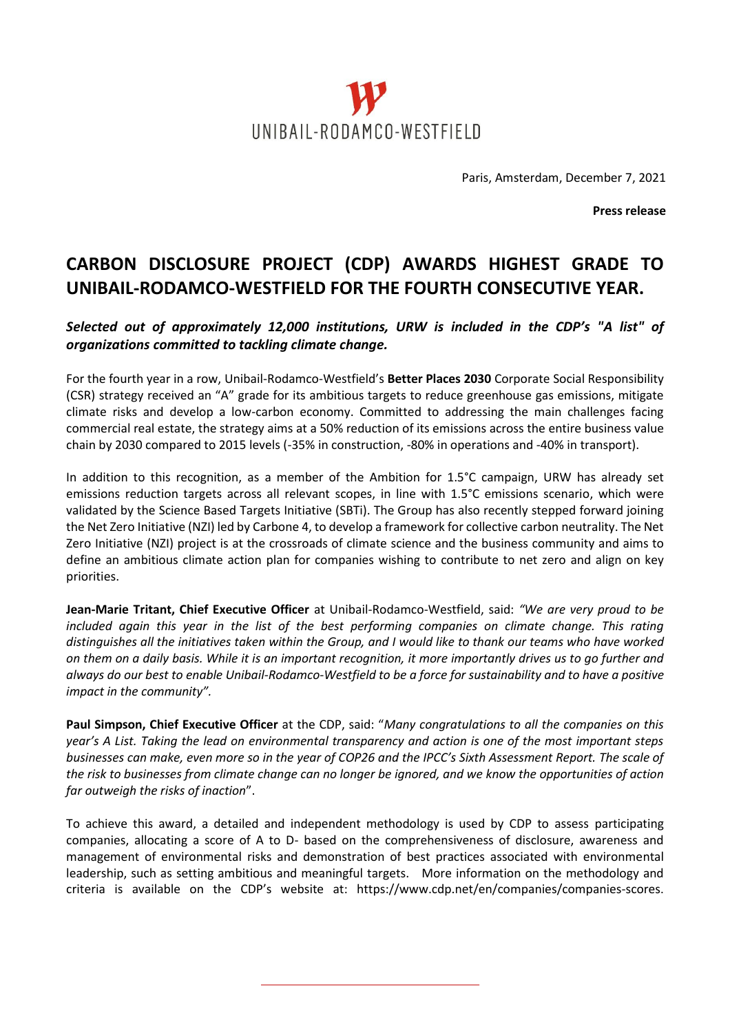

Paris, Amsterdam, December 7, 2021

**Press release**

## **CARBON DISCLOSURE PROJECT (CDP) AWARDS HIGHEST GRADE TO UNIBAIL-RODAMCO-WESTFIELD FOR THE FOURTH CONSECUTIVE YEAR.**

## *Selected out of approximately 12,000 institutions, URW is included in the CDP's "A list" of organizations committed to tackling climate change.*

For the fourth year in a row, Unibail-Rodamco-Westfield's **Better Places 2030** Corporate Social Responsibility (CSR) strategy received an "A" grade for its ambitious targets to reduce greenhouse gas emissions, mitigate climate risks and develop a low-carbon economy. Committed to addressing the main challenges facing commercial real estate, the strategy aims at a 50% reduction of its emissions across the entire business value chain by 2030 compared to 2015 levels (-35% in construction, -80% in operations and -40% in transport).

In addition to this recognition, as a member of the Ambition for 1.5°C campaign, URW has already set emissions reduction targets across all relevant scopes, in line with 1.5°C emissions scenario, which were validated by the Science Based Targets Initiative (SBTi). The Group has also recently stepped forward joining the Net Zero Initiative (NZI) led by Carbone 4, to develop a framework for collective carbon neutrality. The Net Zero Initiative (NZI) project is at the crossroads of climate science and the business community and aims to define an ambitious climate action plan for companies wishing to contribute to net zero and align on key priorities.

**Jean-Marie Tritant, Chief Executive Officer** at Unibail-Rodamco-Westfield, said: *"We are very proud to be included again this year in the list of the best performing companies on climate change. This rating distinguishes all the initiatives taken within the Group, and I would like to thank our teams who have worked on them on a daily basis. While it is an important recognition, it more importantly drives us to go further and always do our best to enable Unibail-Rodamco-Westfield to be a force for sustainability and to have a positive impact in the community".*

**Paul Simpson, Chief Executive Officer** at the CDP, said: "*Many congratulations to all the companies on this year's A List. Taking the lead on environmental transparency and action is one of the most important steps businesses can make, even more so in the year of COP26 and the IPCC's Sixth Assessment Report. The scale of the risk to businesses from climate change can no longer be ignored, and we know the opportunities of action far outweigh the risks of inaction*".

To achieve this award, a detailed and independent methodology is used by CDP to assess participating companies, allocating a score of A to D- based on the comprehensiveness of disclosure, awareness and management of environmental risks and demonstration of best practices associated with environmental leadership, such as setting ambitious and meaningful targets. More information on the methodology and criteria is available on the CDP's website at: <https://www.cdp.net/en/companies/companies-scores>.